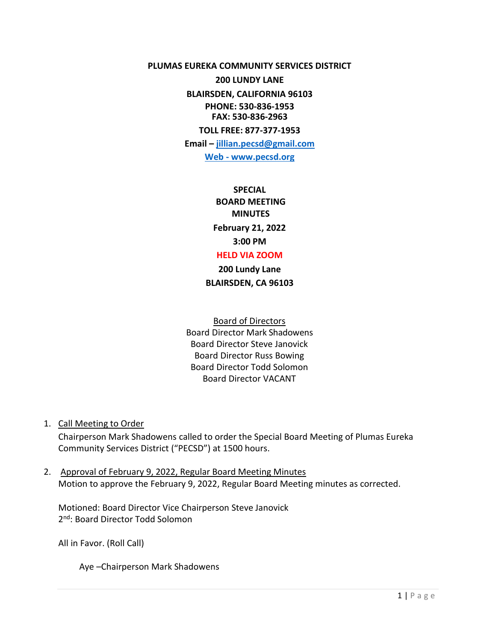**PLUMAS EUREKA COMMUNITY SERVICES DISTRICT** 

**200 LUNDY LANE BLAIRSDEN, CALIFORNIA 96103 PHONE: 530-836-1953 FAX: 530-836-2963 TOLL FREE: 877-377-1953**

**Email – [jillian.pecsd@gmail.com](mailto:jillian.pecsd@gmail.com) Web - www.pecsd.org**

> **SPECIAL BOARD MEETING MINUTES February 21, 2022 3:00 PM**

# **HELD VIA ZOOM**

**200 Lundy Lane BLAIRSDEN, CA 96103**

Board of Directors Board Director Mark Shadowens Board Director Steve Janovick Board Director Russ Bowing Board Director Todd Solomon Board Director VACANT

1. Call Meeting to Order

Chairperson Mark Shadowens called to order the Special Board Meeting of Plumas Eureka Community Services District ("PECSD") at 1500 hours.

2. Approval of February 9, 2022, Regular Board Meeting Minutes Motion to approve the February 9, 2022, Regular Board Meeting minutes as corrected.

Motioned: Board Director Vice Chairperson Steve Janovick 2<sup>nd</sup>: Board Director Todd Solomon

All in Favor. (Roll Call)

Aye –Chairperson Mark Shadowens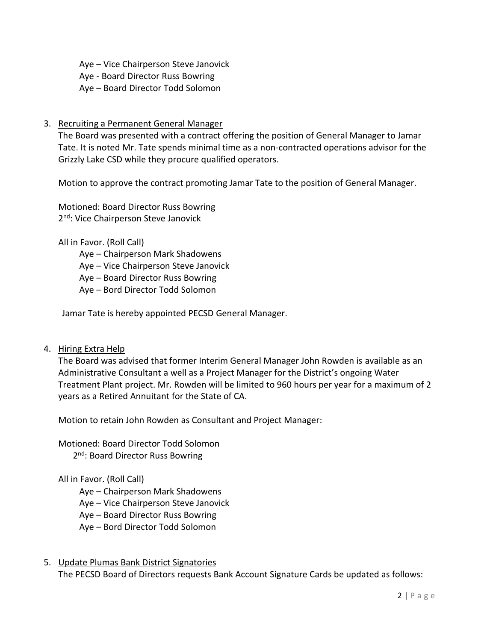Aye – Vice Chairperson Steve Janovick

Aye - Board Director Russ Bowring

Aye – Board Director Todd Solomon

## 3. Recruiting a Permanent General Manager

The Board was presented with a contract offering the position of General Manager to Jamar Tate. It is noted Mr. Tate spends minimal time as a non-contracted operations advisor for the Grizzly Lake CSD while they procure qualified operators.

Motion to approve the contract promoting Jamar Tate to the position of General Manager.

Motioned: Board Director Russ Bowring 2<sup>nd</sup>: Vice Chairperson Steve Janovick

All in Favor. (Roll Call)

Aye – Chairperson Mark Shadowens

Aye – Vice Chairperson Steve Janovick

Aye – Board Director Russ Bowring

Aye – Bord Director Todd Solomon

Jamar Tate is hereby appointed PECSD General Manager.

### 4. Hiring Extra Help

The Board was advised that former Interim General Manager John Rowden is available as an Administrative Consultant a well as a Project Manager for the District's ongoing Water Treatment Plant project. Mr. Rowden will be limited to 960 hours per year for a maximum of 2 years as a Retired Annuitant for the State of CA.

Motion to retain John Rowden as Consultant and Project Manager:

Motioned: Board Director Todd Solomon 2<sup>nd</sup>: Board Director Russ Bowring

### All in Favor. (Roll Call)

- Aye Chairperson Mark Shadowens
- Aye Vice Chairperson Steve Janovick
- Aye Board Director Russ Bowring
- Aye Bord Director Todd Solomon
- 5. Update Plumas Bank District Signatories The PECSD Board of Directors requests Bank Account Signature Cards be updated as follows: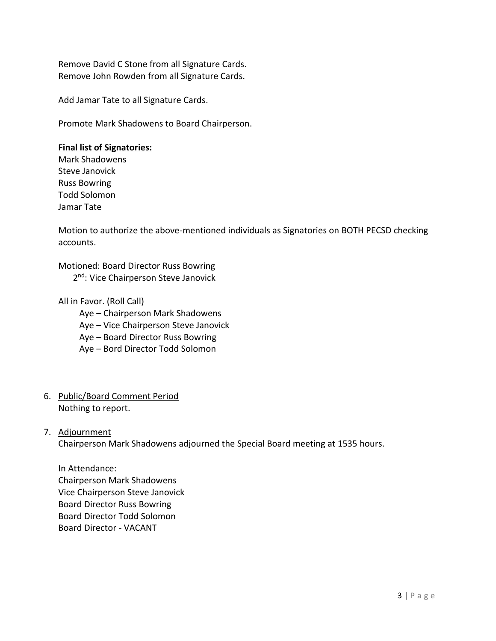Remove David C Stone from all Signature Cards. Remove John Rowden from all Signature Cards.

Add Jamar Tate to all Signature Cards.

Promote Mark Shadowens to Board Chairperson.

### **Final list of Signatories:**

Mark Shadowens Steve Janovick Russ Bowring Todd Solomon Jamar Tate

Motion to authorize the above-mentioned individuals as Signatories on BOTH PECSD checking accounts.

Motioned: Board Director Russ Bowring

2<sup>nd</sup>: Vice Chairperson Steve Janovick

All in Favor. (Roll Call)

Aye – Chairperson Mark Shadowens

Aye – Vice Chairperson Steve Janovick

Aye – Board Director Russ Bowring

Aye – Bord Director Todd Solomon

6. Public/Board Comment Period Nothing to report.

### 7. Adjournment

Chairperson Mark Shadowens adjourned the Special Board meeting at 1535 hours.

In Attendance: Chairperson Mark Shadowens Vice Chairperson Steve Janovick Board Director Russ Bowring Board Director Todd Solomon Board Director - VACANT